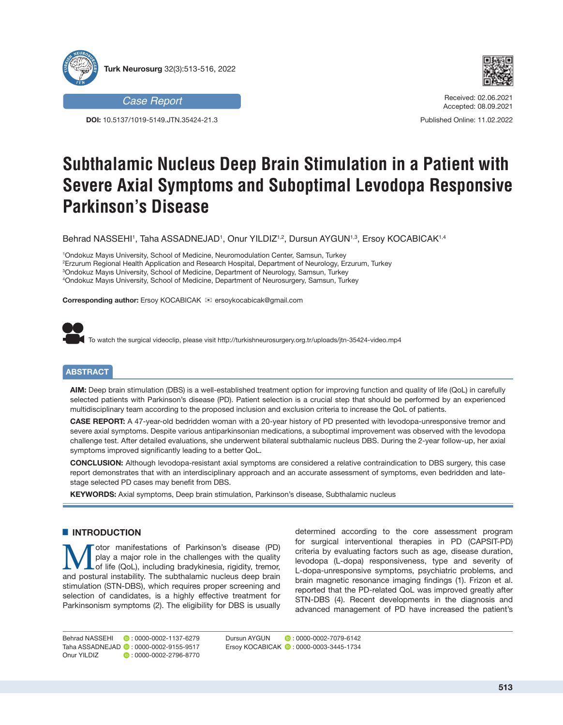



**DOI:** 10.5137/1019-5149.JTN.35424-21.3



Received: 02.06.2021 Accepted: 08.09.2021

Published Online: 11.02.2022

# **Subthalamic Nucleus Deep Brain Stimulation in a Patient with Severe Axial Symptoms and Suboptimal Levodopa Responsive Parkinson's Disease**

Behrad NASSEHI', Taha ASSADNEJAD', Onur YILDIZ'<sup>,2</sup>, Dursun AYGUN'<sup>,3</sup>, Ersoy KOCABICAK'<sup>,4</sup>

 Ondokuz Mayıs University, School of Medicine, Neuromodulation Center, Samsun, Turkey Erzurum Regional Health Application and Research Hospital, Department of Neurology, Erzurum, Turkey Ondokuz Mayıs University, School of Medicine, Department of Neurology, Samsun, Turkey Ondokuz Mayıs University, School of Medicine, Department of Neurosurgery, Samsun, Turkey

**Corresponding author:** Ersoy KOCABICAK <sup>≥</sup> ersoykocabicak@gmail.com



To watch the surgical videoclip, please visit http://turkishneurosurgery.org.tr/uploads/jtn-35424-video.mp4

# **ABSTRACT**

**AIM:** Deep brain stimulation (DBS) is a well-established treatment option for improving function and quality of life (QoL) in carefully selected patients with Parkinson's disease (PD). Patient selection is a crucial step that should be performed by an experienced multidisciplinary team according to the proposed inclusion and exclusion criteria to increase the QoL of patients.

**CASE REPORT:** A 47-year-old bedridden woman with a 20-year history of PD presented with levodopa-unresponsive tremor and severe axial symptoms. Despite various antiparkinsonian medications, a suboptimal improvement was observed with the levodopa challenge test. After detailed evaluations, she underwent bilateral subthalamic nucleus DBS. During the 2-year follow-up, her axial symptoms improved significantly leading to a better QoL.

**CONCLUSION:** Although levodopa-resistant axial symptoms are considered a relative contraindication to DBS surgery, this case report demonstrates that with an interdisciplinary approach and an accurate assessment of symptoms, even bedridden and latestage selected PD cases may benefit from DBS.

**KEYWORDS:** Axial symptoms, Deep brain stimulation, Parkinson's disease, Subthalamic nucleus

### **E INTRODUCTION**

Motor manifestations of Parkinson's disease (PD)<br>
of life (QoL), including bradykinesia, rigidity, tremor,<br>
and postural instability. The subthalamic pucleus deep brain play a major role in the challenges with the quality and postural instability. The subthalamic nucleus deep brain stimulation (STN-DBS), which requires proper screening and selection of candidates, is a highly effective treatment for Parkinsonism symptoms (2). The eligibility for DBS is usually

determined according to the core assessment program for surgical interventional therapies in PD (CAPSIT-PD) criteria by evaluating factors such as age, disease duration, levodopa (L-dopa) responsiveness, type and severity of L-dopa-unresponsive symptoms, psychiatric problems, and brain magnetic resonance imaging findings (1). Frizon et al. reported that the PD-related QoL was improved greatly after STN-DBS (4). Recent developments in the diagnosis and advanced management of PD have increased the patient's

Behrad NASSEHI **: 0000-0002-1137-6279** Taha ASSADNEJAD **:** 0000-0002-9155-9517 Onur YILDIZ **D** 0000-0002-2796-8770

Dursun AYGUN **D**: 0000-0002-7079-6142 Ersoy KOCABICAK **:** 0000-0003-3445-1734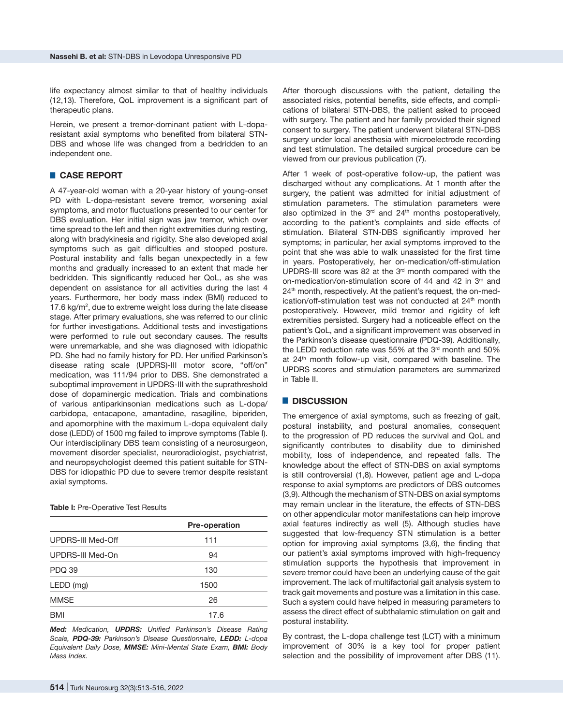life expectancy almost similar to that of healthy individuals (12,13). Therefore, QoL improvement is a significant part of therapeutic plans.

Herein, we present a tremor-dominant patient with L-doparesistant axial symptoms who benefited from bilateral STN-DBS and whose life was changed from a bedridden to an independent one.

# █ **CASE REPORT**

A 47-year-old woman with a 20-year history of young-onset PD with L-dopa-resistant severe tremor, worsening axial symptoms, and motor fluctuations presented to our center for DBS evaluation. Her initial sign was jaw tremor, which over time spread to the left and then right extremities during resting, along with bradykinesia and rigidity. She also developed axial symptoms such as gait difficulties and stooped posture. Postural instability and falls began unexpectedly in a few months and gradually increased to an extent that made her bedridden. This significantly reduced her QoL, as she was dependent on assistance for all activities during the last 4 years. Furthermore, her body mass index (BMI) reduced to 17.6 kg/m<sup>2</sup> , due to extreme weight loss during the late disease stage. After primary evaluations, she was referred to our clinic for further investigations. Additional tests and investigations were performed to rule out secondary causes. The results were unremarkable, and she was diagnosed with idiopathic PD. She had no family history for PD. Her unified Parkinson's disease rating scale (UPDRS)-III motor score, "off/on" medication, was 111/94 prior to DBS. She demonstrated a suboptimal improvement in UPDRS-III with the suprathreshold dose of dopaminergic medication. Trials and combinations of various antiparkinsonian medications such as L-dopa/ carbidopa, entacapone, amantadine, rasagiline, biperiden, and apomorphine with the maximum L-dopa equivalent daily dose (LEDD) of 1500 mg failed to improve symptoms (Table I). Our interdisciplinary DBS team consisting of a neurosurgeon, movement disorder specialist, neuroradiologist, psychiatrist, and neuropsychologist deemed this patient suitable for STN-DBS for idiopathic PD due to severe tremor despite resistant axial symptoms.

#### **Table I:** Pre-Operative Test Results

|                   | <b>Pre-operation</b> |  |  |
|-------------------|----------------------|--|--|
| UPDRS-III Med-Off | 111                  |  |  |
| UPDRS-III Med-On  | 94                   |  |  |
| <b>PDQ 39</b>     | 130                  |  |  |
| $LEDD$ (mg)       | 1500                 |  |  |
| <b>MMSE</b>       | 26                   |  |  |
| BMI               | 17.6                 |  |  |

*Med: Medication, UPDRS: Unified Parkinson's Disease Rating Scale, PDQ-39: Parkinson's Disease Questionnaire, LEDD: L-dopa Equivalent Daily Dose, MMSE: Mini-Mental State Exam, BMI: Body Mass Index.*

After thorough discussions with the patient, detailing the associated risks, potential benefits, side effects, and complications of bilateral STN-DBS, the patient asked to proceed with surgery. The patient and her family provided their signed consent to surgery. The patient underwent bilateral STN-DBS surgery under local anesthesia with microelectrode recording and test stimulation. The detailed surgical procedure can be viewed from our previous publication (7).

After 1 week of post-operative follow-up, the patient was discharged without any complications. At 1 month after the surgery, the patient was admitted for initial adjustment of stimulation parameters. The stimulation parameters were also optimized in the  $3<sup>rd</sup>$  and  $24<sup>th</sup>$  months postoperatively. according to the patient's complaints and side effects of stimulation. Bilateral STN-DBS significantly improved her symptoms; in particular, her axial symptoms improved to the point that she was able to walk unassisted for the first time in years. Postoperatively, her on-medication/off-stimulation UPDRS-III score was 82 at the  $3<sup>rd</sup>$  month compared with the on-medication/on-stimulation score of 44 and 42 in 3<sup>rd</sup> and 24<sup>th</sup> month, respectively. At the patient's request, the on-medication/off-stimulation test was not conducted at 24<sup>th</sup> month postoperatively. However, mild tremor and rigidity of left extremities persisted. Surgery had a noticeable effect on the patient's QoL, and a significant improvement was observed in the Parkinson's disease questionnaire (PDQ-39). Additionally, the LEDD reduction rate was 55% at the 3<sup>rd</sup> month and 50% at 24<sup>th</sup> month follow-up visit, compared with baseline. The UPDRS scores and stimulation parameters are summarized in Table II.

### █ **DISCUSSION**

The emergence of axial symptoms, such as freezing of gait, postural instability, and postural anomalies, consequent to the progression of PD reduces the survival and QoL and significantly contributes to disability due to diminished mobility, loss of independence, and repeated falls. The knowledge about the effect of STN-DBS on axial symptoms is still controversial (1,8). However, patient age and L-dopa response to axial symptoms are predictors of DBS outcomes (3,9). Although the mechanism of STN-DBS on axial symptoms may remain unclear in the literature, the effects of STN-DBS on other appendicular motor manifestations can help improve axial features indirectly as well (5). Although studies have suggested that low-frequency STN stimulation is a better option for improving axial symptoms (3,6), the finding that our patient's axial symptoms improved with high-frequency stimulation supports the hypothesis that improvement in severe tremor could have been an underlying cause of the gait improvement. The lack of multifactorial gait analysis system to track gait movements and posture was a limitation in this case. Such a system could have helped in measuring parameters to assess the direct effect of subthalamic stimulation on gait and postural instability.

By contrast, the L-dopa challenge test (LCT) with a minimum improvement of 30% is a key tool for proper patient selection and the possibility of improvement after DBS (11).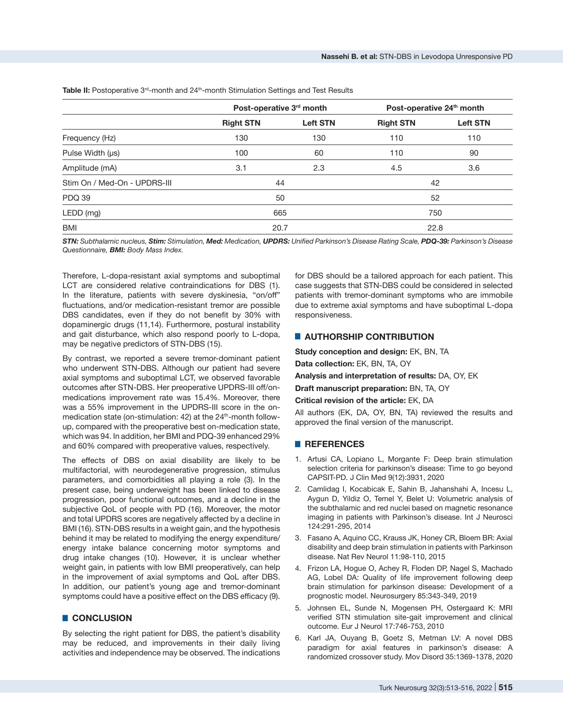Table II: Postoperative 3<sup>rd</sup>-month and 24<sup>th</sup>-month Stimulation Settings and Test Results

|                              | Post-operative 3rd month |                 | Post-operative 24 <sup>th</sup> month |                 |
|------------------------------|--------------------------|-----------------|---------------------------------------|-----------------|
|                              | <b>Right STN</b>         | <b>Left STN</b> | <b>Right STN</b>                      | <b>Left STN</b> |
| Frequency (Hz)               | 130                      | 130             | 110                                   | 110             |
| Pulse Width $(\mu s)$        | 100                      | 60              | 110                                   | 90              |
| Amplitude (mA)               | 3.1                      | 2.3             | 4.5                                   | 3.6             |
| Stim On / Med-On - UPDRS-III | 44                       |                 | 42                                    |                 |
| <b>PDQ 39</b>                | 50                       |                 | 52                                    |                 |
| LEDD (mg)                    | 665                      |                 | 750                                   |                 |
| <b>BMI</b>                   | 20.7                     |                 | 22.8                                  |                 |

*STN: Subthalamic nucleus, Stim: Stimulation, Med: Medication, UPDRS: Unified Parkinson's Disease Rating Scale, PDQ-39: Parkinson's Disease Questionnaire, BMI: Body Mass Index.*

Therefore, L-dopa-resistant axial symptoms and suboptimal LCT are considered relative contraindications for DBS (1). In the literature, patients with severe dyskinesia, "on/off" fluctuations, and/or medication-resistant tremor are possible DBS candidates, even if they do not benefit by 30% with dopaminergic drugs (11,14). Furthermore, postural instability and gait disturbance, which also respond poorly to L-dopa, may be negative predictors of STN-DBS (15).

By contrast, we reported a severe tremor-dominant patient who underwent STN-DBS. Although our patient had severe axial symptoms and suboptimal LCT, we observed favorable outcomes after STN-DBS. Her preoperative UPDRS-III off/onmedications improvement rate was 15.4%. Moreover, there was a 55% improvement in the UPDRS-III score in the onmedication state (on-stimulation:  $42$ ) at the  $24<sup>th</sup>$ -month followup, compared with the preoperative best on-medication state, which was 94. In addition, her BMI and PDQ-39 enhanced 29% and 60% compared with preoperative values, respectively.

The effects of DBS on axial disability are likely to be multifactorial, with neurodegenerative progression, stimulus parameters, and comorbidities all playing a role (3). In the present case, being underweight has been linked to disease progression, poor functional outcomes, and a decline in the subjective QoL of people with PD (16). Moreover, the motor and total UPDRS scores are negatively affected by a decline in BMI (16). STN-DBS results in a weight gain, and the hypothesis behind it may be related to modifying the energy expenditure/ energy intake balance concerning motor symptoms and drug intake changes (10). However, it is unclear whether weight gain, in patients with low BMI preoperatively, can help in the improvement of axial symptoms and QoL after DBS. In addition, our patient's young age and tremor-dominant symptoms could have a positive effect on the DBS efficacy (9).

# █ **CONCLUSION**

By selecting the right patient for DBS, the patient's disability may be reduced, and improvements in their daily living activities and independence may be observed. The indications

for DBS should be a tailored approach for each patient. This case suggests that STN-DBS could be considered in selected patients with tremor-dominant symptoms who are immobile due to extreme axial symptoms and have suboptimal L-dopa responsiveness.

## █ **AUTHORSHIP CONTRIBUTION**

**Study conception and design:** EK, BN, TA

**Data collection:** EK, BN, TA, OY

**Analysis and interpretation of results:** DA, OY, EK

**Draft manuscript preparation:** BN, TA, OY

#### **Critical revision of the article:** EK, DA

All authors (EK, DA, OY, BN, TA) reviewed the results and approved the final version of the manuscript.

#### █ **REFERENCES**

- 1. Artusi CA, Lopiano L, Morgante F: Deep brain stimulation selection criteria for parkinson's disease: Time to go beyond CAPSIT-PD. J Clin Med 9(12):3931, 2020
- 2. Camlidag I, Kocabicak E, Sahin B, Jahanshahi A, Incesu L, Aygun D, Yildiz O, Temel Y, Belet U: Volumetric analysis of the subthalamic and red nuclei based on magnetic resonance imaging in patients with Parkinson's disease. Int J Neurosci 124:291-295, 2014
- 3. Fasano A, Aquino CC, Krauss JK, Honey CR, Bloem BR: Axial disability and deep brain stimulation in patients with Parkinson disease. Nat Rev Neurol 11:98-110, 2015
- 4. Frizon LA, Hogue O, Achey R, Floden DP, Nagel S, Machado AG, Lobel DA: Quality of life improvement following deep brain stimulation for parkinson disease: Development of a prognostic model. Neurosurgery 85:343-349, 2019
- 5. Johnsen EL, Sunde N, Mogensen PH, Ostergaard K: MRI verified STN stimulation site-gait improvement and clinical outcome. Eur J Neurol 17:746-753, 2010
- 6. Karl JA, Ouyang B, Goetz S, Metman LV: A novel DBS paradigm for axial features in parkinson's disease: A randomized crossover study. Mov Disord 35:1369-1378, 2020